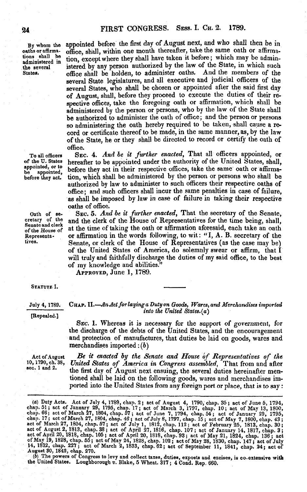By whom the oaths or affirmations shall be administered in the several States.

appointed before the first day of August next, and who shall then be in office, shall, within one month thereafter, take the same oath or affirmation, except where they shall have taken it before; which may be administered by any person authorized by the law of the State, in which such office shall be holden, to administer oaths. And the members of the several State legislatures, and all executive and judicial officers of the several States, who shall be chosen or appointed after the said first day of August, shall, before they proceed to execute the duties of their respective offices, take the foregoing oath or affirmation, which shall be administered by the person or persons, who by the law of the State shall be authorized to administer the oath of office; and the person or persons so administering the oath hereby required to be taken, shall cause a record or certificate thereof to be made, in the same manner, as, by the law of the State, he or they shall be directed to record or certify the oath of office.

Sec. 4. *And be it further enacted,* That all officers appointed, or hereafter to be appointed under the authority of the United States, shall, before they act in their respective offices, take the same oath or affirmation, which shall be administered by the person or persons who shall be authorized by law to administer to such officers their respective oaths of office; and such officers shall incur the same penalties in case of failure, as shall be imposed by law in case of failure in taking their respective oaths of office.

Sec. 5. *And be it further enacted,* That the secretary of the Senate, and the clerk of the House of Representatives for the time being, shall, at the time of taking the oath or affirmation aforesaid, each take an oath or affirmation in the words following, to wit: "I, A. B. secretary of the Senate, or clerk of the House of Representatives (as the case may be) of the United States of America, do solemnly swear or affirm, that I will truly and faithfully discharge the duties of my said office, to the best of my knowledge and abilities."

Approved, June 1, 1789.

STATUTE<sup>I.</sup>

July 4, 1789. [Repealed.]

## **Chap.** *W.—AnActforlayinga Dutyon Goods, Wares,and Merchandisesimported into the United States.{a)*

Sec. 1. Whereas it is necessary for the support of government, for the discharge of the debts of the United States, and the encouragement and protection of manufactures, that duties be laid on goods, wares and merchandises imported:  $(b)$ 

Act of August 10,1790, ch.38, sec. <sup>1</sup> and 2.

*Be it enacted by the Senate and House of Representatives of the United States of America in Congress assembled,* That from and after the first day of August next ensuing, the several duties hereinafter mentioned shall be laid on the following goods, wares and merchandises imported into the United States from any foreign port or place, that is to say :

(b) The powers of Congress to levy and collect taxes, duties, exposts and excises, is co-extensive with<br>the United States. Loughborough v. Blake, 5 Wheat. 317; 4 Cond. Rep. 660.

To all officers of the U. States appointed, or to be appointed, before they act.

Oath of se-cretary of the Senateand clerk ofthe House of Representatives.

<sup>(</sup>a) Duty Acts. Act of July 4, 1789, chap. 2; act of August 4, 1790, chap. 35; act of June 5, 1794, chap. 51; act of January 29, 1795, chap. 17; act of March 27, 1804, chap.  $57$ ; act of June 7, 1794, chap. 56; act of March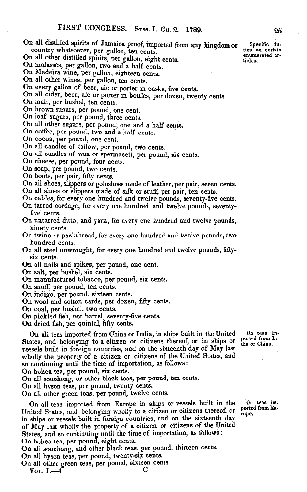- On all distilled spirits of Jamaica proof, imported from any kingdom or Specific du-<br>
country whatsoever, per gallon, ten cents country whatsoever, per gallon, ten cents. The country whatsoever, per gallon, ten cents.
- On all other distilled spirits, per gallon, eight cents. under the spirits of the chain are distincted as a return of the spirits of the spirits of the spirits of the spirits of the spirits of the spirits of the spirits of
- On molasses, per gallon, two and a half cents.
- On Madeira wine, per gallon, eighteen cents.
- On all other wines, per gallon, ten cents.
- On every gallon of beer, ale or porter in casks, five cents.
- On all cider, beer, ale or porter in bottles, per dozen, twenty cents.
- On malt, per bushel, ten cents.
- On brown sugars, per pound, one cent.
- On loaf sugars, per pound, three cents.
- On all other sugars, per pound, one and a half cents.
- On coffee, per pound, two and a half cents.
- On cocoa, per pound, one cent.
- On all candles of tallow, per pound, two cents.
- On all candles of wax or spermaceti, per pound, six cents.
- On cheese, per pound, four cents.
- On soap, per pound, two cents.
- On boots, per pair, fifty cents.
- On all shoes, slippers or goloshoes made of leather, per pair, seven cents.
- On all shoes or slippers made of silk or stuff, per pair, ten cents.
- On cables, for every one hundred and twelve pounds, seventy-five cents.
- On tarred cordage, for every one hundred and twelve pounds, seventyfive cents.
- On untarred ditto, and yarn, for every one hundred and twelve pounds, ninety cents.
- On twine or packthread, for every one hundred and twelve pounds, two hundred cents.
- On all steel unwrought, for every one hundred and twelve pounds, fiftysix cents.
- On all nails and spikes, per pound, one cent.
- On salt, per bushel, six cents.
- On manufactured tobacco, per pound, six cents.
- On snuff, per pound, ten cents.
- On indigo, per pound, sixteen cents.
- On wool and cotton cards, per dozen, fifty cents.
- On.coal, per bushel, two cents.
- On pickled fish, per barrel, seventy-five cents.

On dried fish, per quintal, fifty cents.

On all teas imported from China or India, in ships built in the United On teas im-<br>ates, and belonging to a citizen or citizens thereof, or in ships or ported from In-<br>dia or China. States, and belonging to a citizen or citizens thereof, or in ships or vessels built in foreign countries, and on the sixteenth day of May last wholly the property of a citizen or citizens of the United States, and so continuing until the time of importation, as follows :

On bohea tea, per pound, six cents.

On all souchong, or other black teas, per pound, ten cents.

On all hyson teas, per pound, twenty cents.

On all other green teas, per pound, twelve cents.

On all teas imported from Europe in ships or vessels built in the **On teas im-**United States, and belonging wholly to a citizen or citizens thereof, or porte in ships or vessels built in foreign countries, and on the sixteenth day of May last wholly the property of a citizen or citizens of the United States, and so continuing until the time of importation, as follows: On bohea tea, per pound, eight cents.

On all souchong, and other black teas, per pound, thirteen cents. On all hyson teas, per pound, twenty-six cents.

On all other green teas, per pound, sixteen cents.

 $V$ ol. I.—4 C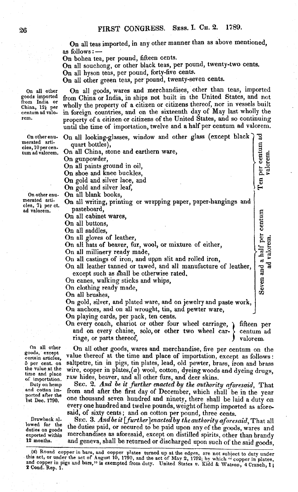On all teas imported, in any other manner than as above mentioned, as follows: —

On bohea tea, per pound, fifteen cents.

On all souchong, or other black teas, per pound, twenty-two cents.

On all hyson teas, per pound, forty-five cents.

On all other green teas, per pound, twenty-seven cents.

On all goods, wares and merchandises, other than teas, imported from China or India, in ships not built in the United States, and not wholly the property of a citizen or citizens thereof, nor in vessels built in foreign countries, and on the sixteenth day of May last wholly the property of a citizen or citizens of the United States, and so continuing until the time of importation, twelve and a half per centum ad valorem.

| r enu-<br>arti-<br>er cen -<br>lorem.<br>er enu- | On all looking-glasses, window and other glass (except black<br>quart bottles),<br>On all China, stone and earthern ware,<br>On gunpowder,<br>On all paints ground in oil,<br>On shoe and knee buckles,<br>On gold and silver lace, and<br>On gold and silver leaf,<br>On all blank books,                                                                                                                                                                                                                                          | Ten per centum<br>valorem.                    |
|--------------------------------------------------|-------------------------------------------------------------------------------------------------------------------------------------------------------------------------------------------------------------------------------------------------------------------------------------------------------------------------------------------------------------------------------------------------------------------------------------------------------------------------------------------------------------------------------------|-----------------------------------------------|
| arti-<br>per ct.<br>m.                           | On all writing, printing or wrapping paper, paper-hangings and<br>pasteboard,<br>On all cabinet wares,<br>On all buttons,<br>On all saddles,<br>On all gloves of leather,<br>On all hats of beaver, fur, wool, or mixture of either,<br>On all millinery ready made,<br>On all castings of iron, and upon slit and rolled iron,<br>On all leather tanned or tawed, and all manufacture of leather,<br>except such as shall be otherwise rated.<br>On canes, walking sticks and whips,<br>On clothing ready made,<br>On all brushes, | centum<br>Seven and a half per<br>ad valorem. |
|                                                  | On gold, silver, and plated ware, and on jewelry and paste work,<br>On anchors, and on all wrought, tin, and pewter ware,<br>On playing cards, per pack, ten cents.<br>On every coach, chariot or other four wheel carriage,                                                                                                                                                                                                                                                                                                        | fifteen per                                   |

and on every chaise, solo, or other two wheel car-<br>riage, or parts thereof,  $\bigg\}$  valorem.

On all other goods, except certain articles, o per cent, on the value at the time and place of importation. Duty on hemp and cotton imported after the

Drawback allowed for the duties on goods exported within

12 months.

1st Dec. 1790.

On all other goods, wares and merchandise, five per centum on the value thereof at the time and place of importation, except as follows: saltpetre, tin in pigs, tin plates, lead, old pewter, brass, iron and brass wire, copper in plates, $(a)$  wool, cotton, dyeing woods and dyeing drugs, raw hides, beaver, and all other furs, and deer skins.

Sec. 2. *And be it further enacted by the authority aforesaid,* That from and after the first day of December, which shall be in the year one thousand seven hundred and ninety, there shall be laid a duty on every one hundred and twelve pounds, weight ofhemp imported as aforesaid, of sixty cents; and on cotton per pound, three cents.

Sec. 3. *Andbe it[further^enactedby the authority aforesaid,* That all the duties paid, or secured to be paid upon any of the goods, wares and merchandises as aforesaid, except on distilled spirits, other than brandy and geneva, shall be returned or discharged upon such of the said goods,

On othe merated cles, 10 p tum ad va

On other merated cles,  $7<sub>k</sub>$ ad valore

<sup>(</sup>a) Round copper in bars, and copper plates turned up at the edges, are not subject to duty under this act, or under the act of August 10, 1790, and the act of May 2, 1792; bv which " copper in plates and copper in pigs and bars," is exempted from duty. United States v. Kidd & Watson, 4 Cranch, 1;<br>2 Cond. Rep. 1.